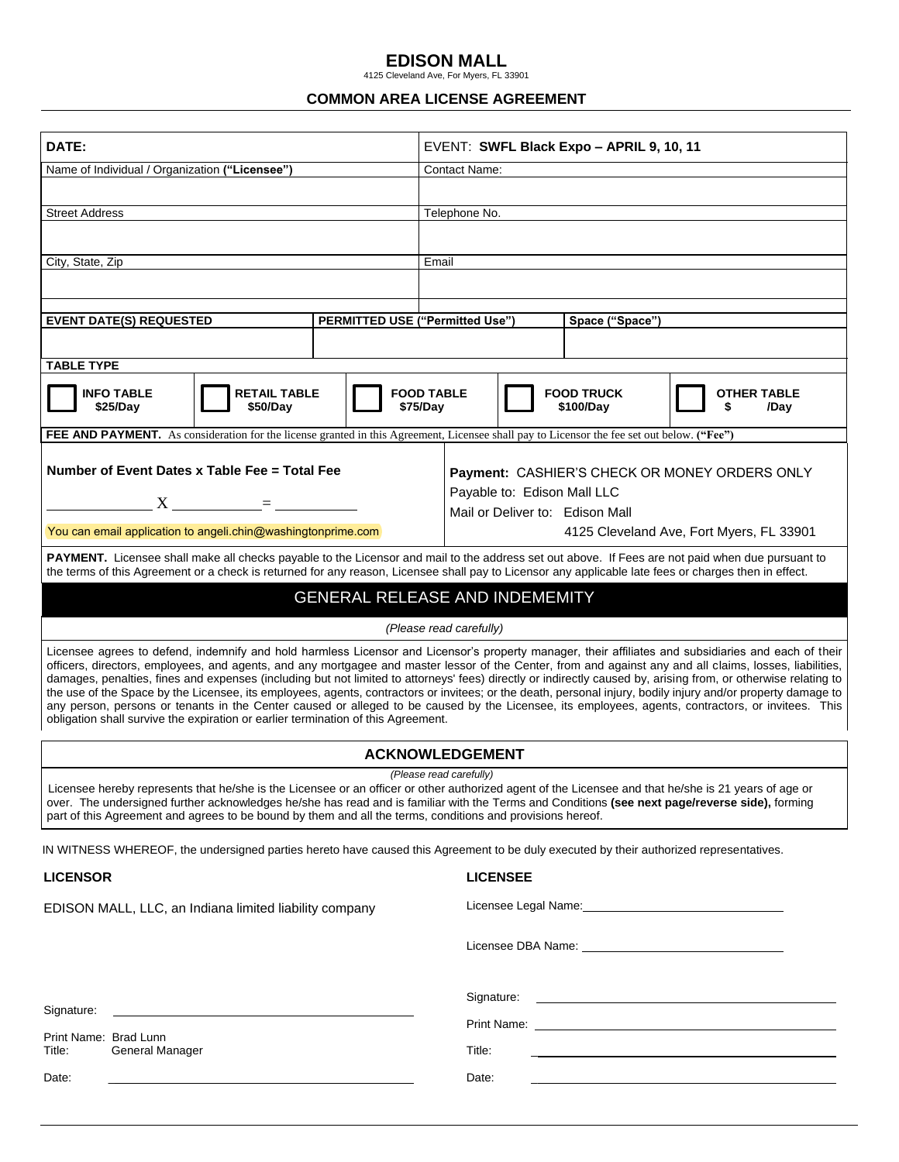## **EDISON MALL**<br>4125 Cleveland Ave, For Myers, FL 33901

## **COMMON AREA LICENSE AGREEMENT**

| DATE:                                                                                                                                                                                                                                                                                                                                                                                                                                                                                                                                                                                                                                                                                                                                                                                                                                                                                         | EVENT: SWFL Black Expo - APRIL 9, 10, 11                                                                                            |
|-----------------------------------------------------------------------------------------------------------------------------------------------------------------------------------------------------------------------------------------------------------------------------------------------------------------------------------------------------------------------------------------------------------------------------------------------------------------------------------------------------------------------------------------------------------------------------------------------------------------------------------------------------------------------------------------------------------------------------------------------------------------------------------------------------------------------------------------------------------------------------------------------|-------------------------------------------------------------------------------------------------------------------------------------|
| Name of Individual / Organization ("Licensee")                                                                                                                                                                                                                                                                                                                                                                                                                                                                                                                                                                                                                                                                                                                                                                                                                                                | <b>Contact Name:</b>                                                                                                                |
| <b>Street Address</b>                                                                                                                                                                                                                                                                                                                                                                                                                                                                                                                                                                                                                                                                                                                                                                                                                                                                         | Telephone No.                                                                                                                       |
|                                                                                                                                                                                                                                                                                                                                                                                                                                                                                                                                                                                                                                                                                                                                                                                                                                                                                               |                                                                                                                                     |
| City, State, Zip                                                                                                                                                                                                                                                                                                                                                                                                                                                                                                                                                                                                                                                                                                                                                                                                                                                                              | Email                                                                                                                               |
|                                                                                                                                                                                                                                                                                                                                                                                                                                                                                                                                                                                                                                                                                                                                                                                                                                                                                               |                                                                                                                                     |
| <b>PERMITTED USE ("Permitted Use")</b><br><b>EVENT DATE(S) REQUESTED</b>                                                                                                                                                                                                                                                                                                                                                                                                                                                                                                                                                                                                                                                                                                                                                                                                                      | Space ("Space")                                                                                                                     |
|                                                                                                                                                                                                                                                                                                                                                                                                                                                                                                                                                                                                                                                                                                                                                                                                                                                                                               |                                                                                                                                     |
| <b>TABLE TYPE</b>                                                                                                                                                                                                                                                                                                                                                                                                                                                                                                                                                                                                                                                                                                                                                                                                                                                                             |                                                                                                                                     |
| <b>INFO TABLE</b><br><b>RETAIL TABLE</b><br>\$25/Day<br>\$50/Day                                                                                                                                                                                                                                                                                                                                                                                                                                                                                                                                                                                                                                                                                                                                                                                                                              | <b>FOOD TABLE</b><br><b>FOOD TRUCK</b><br><b>OTHER TABLE</b><br>\$75/Day<br>\$100/Day<br>/Day                                       |
| FEE AND PAYMENT. As consideration for the license granted in this Agreement, Licensee shall pay to Licensor the fee set out below. ("Fee")                                                                                                                                                                                                                                                                                                                                                                                                                                                                                                                                                                                                                                                                                                                                                    |                                                                                                                                     |
| Number of Event Dates x Table Fee = Total Fee                                                                                                                                                                                                                                                                                                                                                                                                                                                                                                                                                                                                                                                                                                                                                                                                                                                 | Payment: CASHIER'S CHECK OR MONEY ORDERS ONLY                                                                                       |
| $X =$                                                                                                                                                                                                                                                                                                                                                                                                                                                                                                                                                                                                                                                                                                                                                                                                                                                                                         | Payable to: Edison Mall LLC<br>Mail or Deliver to: Edison Mall                                                                      |
| You can email application to angeli.chin@washingtonprime.com                                                                                                                                                                                                                                                                                                                                                                                                                                                                                                                                                                                                                                                                                                                                                                                                                                  | 4125 Cleveland Ave, Fort Myers, FL 33901                                                                                            |
| PAYMENT. Licensee shall make all checks payable to the Licensor and mail to the address set out above. If Fees are not paid when due pursuant to<br>the terms of this Agreement or a check is returned for any reason, Licensee shall pay to Licensor any applicable late fees or charges then in effect.                                                                                                                                                                                                                                                                                                                                                                                                                                                                                                                                                                                     |                                                                                                                                     |
| <b>GENERAL RELEASE AND INDEMEMITY</b>                                                                                                                                                                                                                                                                                                                                                                                                                                                                                                                                                                                                                                                                                                                                                                                                                                                         |                                                                                                                                     |
| (Please read carefully)                                                                                                                                                                                                                                                                                                                                                                                                                                                                                                                                                                                                                                                                                                                                                                                                                                                                       |                                                                                                                                     |
| Licensee agrees to defend, indemnify and hold harmless Licensor and Licensor's property manager, their affiliates and subsidiaries and each of their<br>officers, directors, employees, and agents, and any mortgagee and master lessor of the Center, from and against any and all claims, losses, liabilities,<br>damages, penalties, fines and expenses (including but not limited to attorneys' fees) directly or indirectly caused by, arising from, or otherwise relating to<br>the use of the Space by the Licensee, its employees, agents, contractors or invitees; or the death, personal injury, bodily injury and/or property damage to<br>any person, persons or tenants in the Center caused or alleged to be caused by the Licensee, its employees, agents, contractors, or invitees. This<br>obligation shall survive the expiration or earlier termination of this Agreement. |                                                                                                                                     |
| <b>ACKNOWLEDGEMENT</b>                                                                                                                                                                                                                                                                                                                                                                                                                                                                                                                                                                                                                                                                                                                                                                                                                                                                        |                                                                                                                                     |
| (Please read carefully)<br>Licensee hereby represents that he/she is the Licensee or an officer or other authorized agent of the Licensee and that he/she is 21 years of age or<br>over. The undersigned further acknowledges he/she has read and is familiar with the Terms and Conditions (see next page/reverse side), forming<br>part of this Agreement and agrees to be bound by them and all the terms, conditions and provisions hereof.                                                                                                                                                                                                                                                                                                                                                                                                                                               |                                                                                                                                     |
| IN WITNESS WHEREOF, the undersigned parties hereto have caused this Agreement to be duly executed by their authorized representatives.                                                                                                                                                                                                                                                                                                                                                                                                                                                                                                                                                                                                                                                                                                                                                        |                                                                                                                                     |
| <b>LICENSOR</b>                                                                                                                                                                                                                                                                                                                                                                                                                                                                                                                                                                                                                                                                                                                                                                                                                                                                               | <b>LICENSEE</b>                                                                                                                     |
| EDISON MALL, LLC, an Indiana limited liability company                                                                                                                                                                                                                                                                                                                                                                                                                                                                                                                                                                                                                                                                                                                                                                                                                                        |                                                                                                                                     |
|                                                                                                                                                                                                                                                                                                                                                                                                                                                                                                                                                                                                                                                                                                                                                                                                                                                                                               |                                                                                                                                     |
|                                                                                                                                                                                                                                                                                                                                                                                                                                                                                                                                                                                                                                                                                                                                                                                                                                                                                               | Signature:<br><u> 1980 - Jan Barat, margaret amerikan basal dan berasal dan berasal dan berasal dan berasal dan berasal dan ber</u> |
| Signature:                                                                                                                                                                                                                                                                                                                                                                                                                                                                                                                                                                                                                                                                                                                                                                                                                                                                                    |                                                                                                                                     |
| Print Name: Brad Lunn<br>General Manager<br>Title:                                                                                                                                                                                                                                                                                                                                                                                                                                                                                                                                                                                                                                                                                                                                                                                                                                            | Title:                                                                                                                              |
| Date:                                                                                                                                                                                                                                                                                                                                                                                                                                                                                                                                                                                                                                                                                                                                                                                                                                                                                         | Date:                                                                                                                               |
|                                                                                                                                                                                                                                                                                                                                                                                                                                                                                                                                                                                                                                                                                                                                                                                                                                                                                               |                                                                                                                                     |